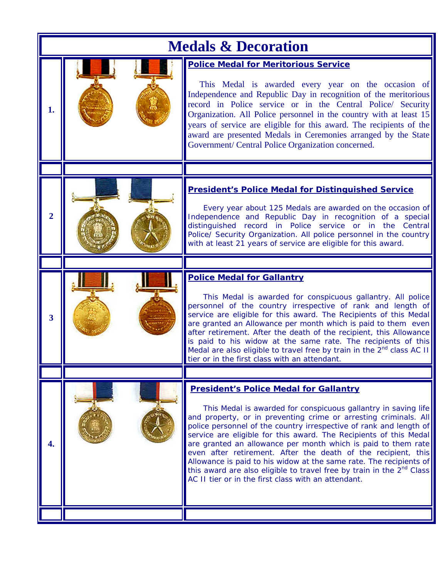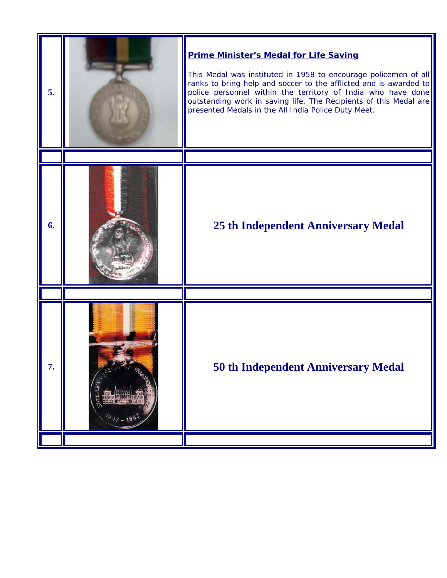| 5. | <b>Prime Minister's Medal for Life Saving</b><br>This Medal was instituted in 1958 to encourage policemen of all<br>ranks to bring help and soccer to the afflicted and is awarded to<br>police personnel within the territory of India who have done<br>outstanding work in saving life. The Recipients of this Medal are<br>presented Medals in the All India Police Duty Meet. |
|----|-----------------------------------------------------------------------------------------------------------------------------------------------------------------------------------------------------------------------------------------------------------------------------------------------------------------------------------------------------------------------------------|
|    |                                                                                                                                                                                                                                                                                                                                                                                   |
| 6. | <b>25 th Independent Anniversary Medal</b>                                                                                                                                                                                                                                                                                                                                        |
|    |                                                                                                                                                                                                                                                                                                                                                                                   |
| 7. | <b>50 th Independent Anniversary Medal</b>                                                                                                                                                                                                                                                                                                                                        |
|    |                                                                                                                                                                                                                                                                                                                                                                                   |